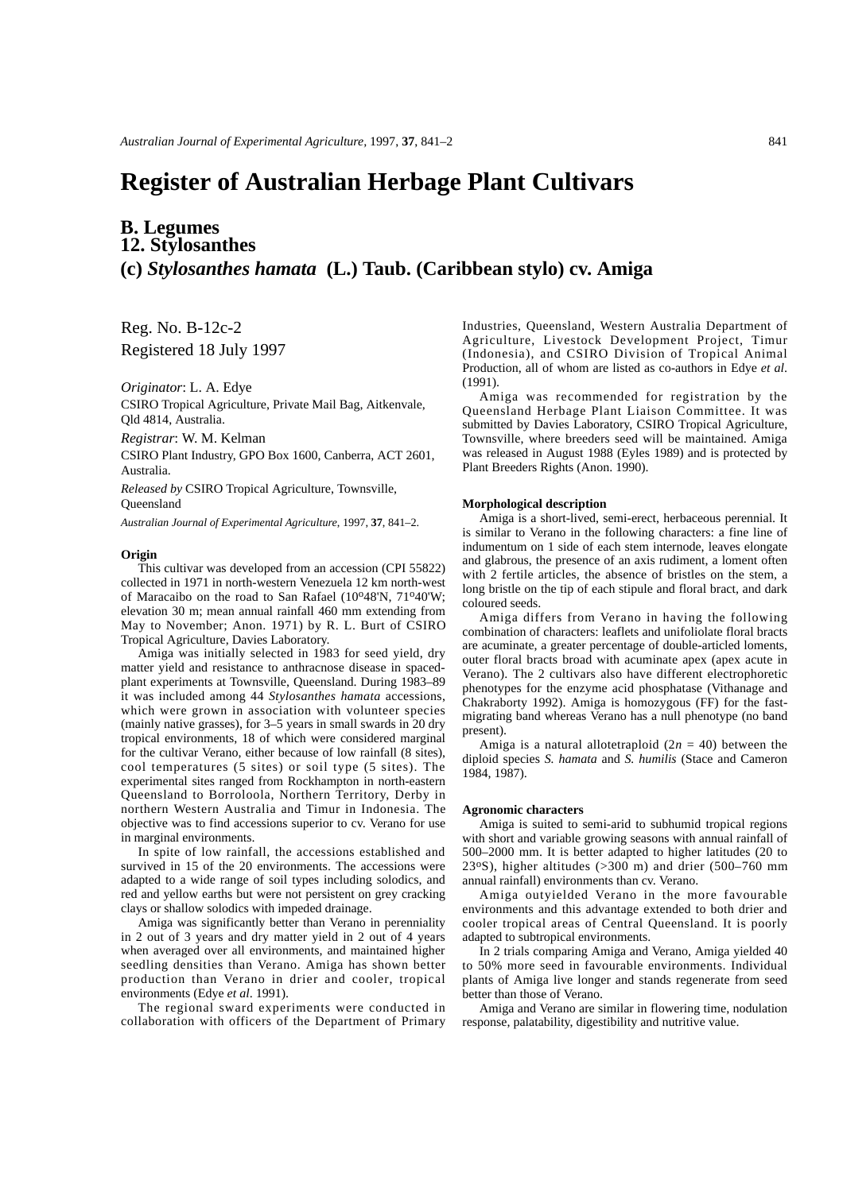# **Register of Australian Herbage Plant Cultivars**

## **B. Legumes 12. Stylosanthes (c)** *Stylosanthes hamata* **(L.) Taub. (Caribbean stylo) cv. Amiga**

Reg. No. B-12c-2 Registered 18 July 1997

*Originator*: L. A. Edye

CSIRO Tropical Agriculture, Private Mail Bag, Aitkenvale, Qld 4814, Australia.

*Registrar*: W. M. Kelman

CSIRO Plant Industry, GPO Box 1600, Canberra, ACT 2601, Australia.

*Released by* CSIRO Tropical Agriculture, Townsville, **Oueensland** 

*Australian Journal of Experimental Agriculture*, 1997, **37**, 841–2.

#### **Origin**

This cultivar was developed from an accession (CPI 55822) collected in 1971 in north-western Venezuela 12 km north-west of Maracaibo on the road to San Rafael (10°48'N, 71°40'W; elevation 30 m; mean annual rainfall 460 mm extending from May to November; Anon. 1971) by R. L. Burt of CSIRO Tropical Agriculture, Davies Laboratory.

Amiga was initially selected in 1983 for seed yield, dry matter yield and resistance to anthracnose disease in spacedplant experiments at Townsville, Queensland. During 1983–89 it was included among 44 *Stylosanthes hamata* accessions, which were grown in association with volunteer species (mainly native grasses), for 3–5 years in small swards in 20 dry tropical environments, 18 of which were considered marginal for the cultivar Verano, either because of low rainfall (8 sites), cool temperatures (5 sites) or soil type (5 sites). The experimental sites ranged from Rockhampton in north-eastern Queensland to Borroloola, Northern Territory, Derby in northern Western Australia and Timur in Indonesia. The objective was to find accessions superior to cv. Verano for use in marginal environments.

In spite of low rainfall, the accessions established and survived in 15 of the 20 environments. The accessions were adapted to a wide range of soil types including solodics, and red and yellow earths but were not persistent on grey cracking clays or shallow solodics with impeded drainage.

Amiga was significantly better than Verano in perenniality in 2 out of 3 years and dry matter yield in 2 out of 4 years when averaged over all environments, and maintained higher seedling densities than Verano. Amiga has shown better production than Verano in drier and cooler, tropical environments (Edye *et al*. 1991).

The regional sward experiments were conducted in collaboration with officers of the Department of Primary Industries, Queensland, Western Australia Department of Agriculture, Livestock Development Project, Timur (Indonesia), and CSIRO Division of Tropical Animal Production, all of whom are listed as co-authors in Edye *et al*. (1991).

Amiga was recommended for registration by the Queensland Herbage Plant Liaison Committee. It was submitted by Davies Laboratory, CSIRO Tropical Agriculture, Townsville, where breeders seed will be maintained. Amiga was released in August 1988 (Eyles 1989) and is protected by Plant Breeders Rights (Anon. 1990).

#### **Morphological description**

Amiga is a short-lived, semi-erect, herbaceous perennial. It is similar to Verano in the following characters: a fine line of indumentum on 1 side of each stem internode, leaves elongate and glabrous, the presence of an axis rudiment, a loment often with 2 fertile articles, the absence of bristles on the stem, a long bristle on the tip of each stipule and floral bract, and dark coloured seeds.

Amiga differs from Verano in having the following combination of characters: leaflets and unifoliolate floral bracts are acuminate, a greater percentage of double-articled loments, outer floral bracts broad with acuminate apex (apex acute in Verano). The 2 cultivars also have different electrophoretic phenotypes for the enzyme acid phosphatase (Vithanage and Chakraborty 1992). Amiga is homozygous (FF) for the fastmigrating band whereas Verano has a null phenotype (no band present).

Amiga is a natural allotetraploid  $(2n = 40)$  between the diploid species *S. hamata* and *S. humilis* (Stace and Cameron 1984, 1987).

#### **Agronomic characters**

Amiga is suited to semi-arid to subhumid tropical regions with short and variable growing seasons with annual rainfall of 500–2000 mm. It is better adapted to higher latitudes (20 to 23°S), higher altitudes  $(>300 \text{ m})$  and drier (500–760 mm) annual rainfall) environments than cv. Verano.

Amiga outyielded Verano in the more favourable environments and this advantage extended to both drier and cooler tropical areas of Central Queensland. It is poorly adapted to subtropical environments.

In 2 trials comparing Amiga and Verano, Amiga yielded 40 to 50% more seed in favourable environments. Individual plants of Amiga live longer and stands regenerate from seed better than those of Verano.

Amiga and Verano are similar in flowering time, nodulation response, palatability, digestibility and nutritive value.